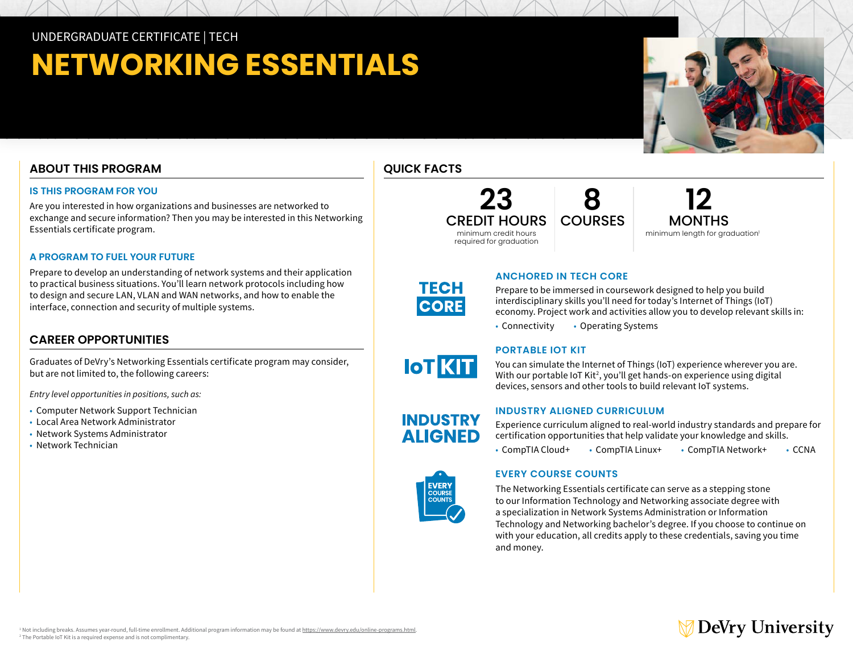UNDERGRADUATE CERTIFICATE | TECH

# **NETWORKING ESSENTIALS**

# **ABOUT THIS PROGRAM**

# **IS THIS PROGRAM FOR YOU**

Are you interested in how organizations and businesses are networked to exchange and secure information? Then you may be interested in this Networking Essentials certificate program.

## **A PROGRAM TO FUEL YOUR FUTURE**

Prepare to develop an understanding of network systems and their application to practical business situations. You'll learn network protocols including how to design and secure LAN, VLAN and WAN networks, and how to enable the interface, connection and security of multiple systems.

# **CAREER OPPORTUNITIES**

Graduates of DeVry's Networking Essentials certificate program may consider, but are not limited to, the following careers:

*Entry level opportunities in positions, such as:* 

- Computer Network Support Technician
- Local Area Network Administrator
- Network Systems Administrator
- Network Technician





**12**  MONTHS minimum length for graduation<sup>1</sup>

**TECH CORE** 

**IOT KIT** 

**INDUSTRY ALIGNED** 

# **ANCHORED IN TECH CORE**

Prepare to be immersed in coursework designed to help you build interdisciplinary skills you'll need for today's Internet of Things (IoT) economy. Project work and activities allow you to develop relevant skills in:

• Connectivity • Operating Systems

# **PORTABLE IOT KIT**

You can simulate the Internet of Things (IoT) experience wherever you are. With our portable IoT Kit<sup>2</sup>, you'll get hands-on experience using digital devices, sensors and other tools to build relevant IoT systems.

# **INDUSTRY ALIGNED CURRICULUM**

Experience curriculum aligned to real-world industry standards and prepare for certification opportunities that help validate your knowledge and skills.

• CompTIA Cloud+ • CompTIA Linux+ • CompTIA Network+ • CCNA



The Networking Essentials certificate can serve as a stepping stone to our Information Technology and Networking associate degree with a specialization in Network Systems Administration or Information Technology and Networking bachelor's degree. If you choose to continue on with your education, all credits apply to these credentials, saving you time and money.